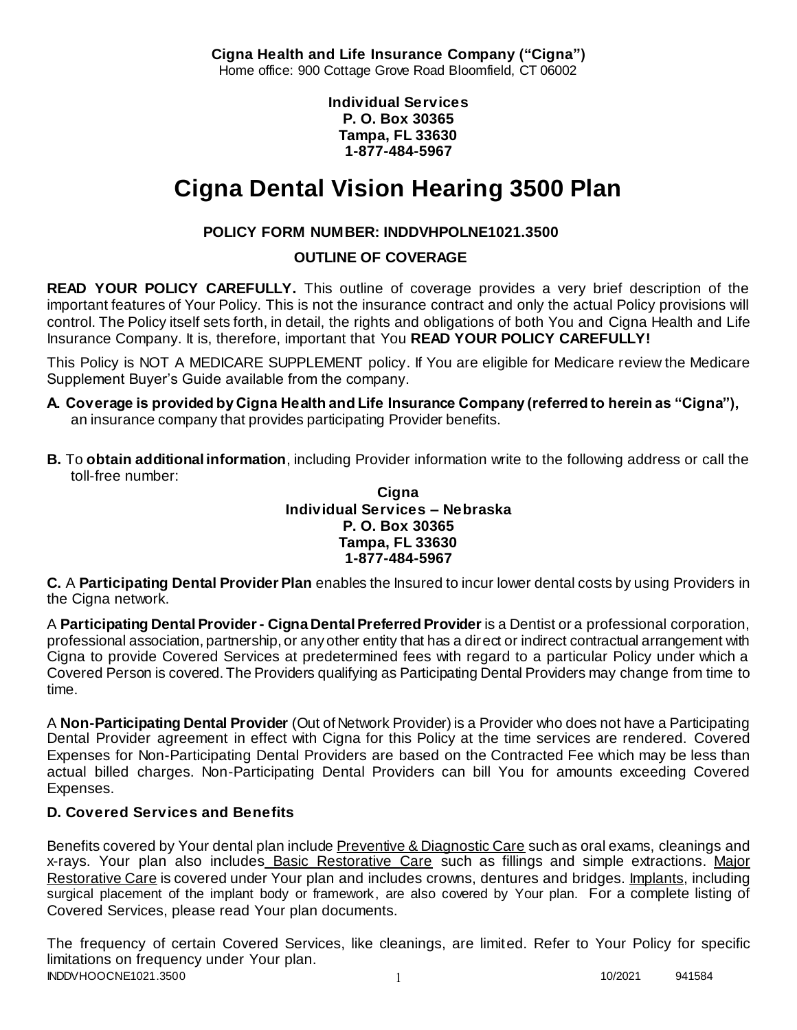**Cigna Health and Life Insurance Company ("Cigna")** Home office: 900 Cottage Grove Road Bloomfield, CT 06002

> **Individual Services P. O. Box 30365 Tampa, FL 33630 1-877-484-5967**

# **Cigna Dental Vision Hearing 3500 Plan**

# **POLICY FORM NUMBER: INDDVHPOLNE1021.3500**

**OUTLINE OF COVERAGE** 

**READ YOUR POLICY CAREFULLY.** This outline of coverage provides a very brief description of the important features of Your Policy. This is not the insurance contract and only the actual Policy provisions will control. The Policy itself sets forth, in detail, the rights and obligations of both You and Cigna Health and Life Insurance Company. It is, therefore, important that You **READ YOUR POLICY CAREFULLY!** 

This Policy is NOT A MEDICARE SUPPLEMENT policy. If You are eligible for Medicare review the Medicare Supplement Buyer's Guide available from the company.

- **A. Coverage is provided by Cigna Health and Life Insurance Company (referred to herein as "Cigna"),**  an insurance company that provides participating Provider benefits.
- **B.** To **obtain additional information**, including Provider information write to the following address or call the toll-free number:

**Cigna Individual Services – Nebraska P. O. Box 30365 Tampa, FL 33630 1-877-484-5967**

**C.** A **Participating Dental Provider Plan** enables the Insured to incur lower dental costs by using Providers in the Cigna network.

A **Participating Dental Provider - Cigna Dental Preferred Provider** is a Dentist or a professional corporation, professional association, partnership, or any other entity that has a direct or indirect contractual arrangement with Cigna to provide Covered Services at predetermined fees with regard to a particular Policy under which a Covered Person is covered. The Providers qualifying as Participating Dental Providers may change from time to time.

A **Non-Participating Dental Provider** (Out of Network Provider) is a Provider who does not have a Participating Dental Provider agreement in effect with Cigna for this Policy at the time services are rendered. Covered Expenses for Non-Participating Dental Providers are based on the Contracted Fee which may be less than actual billed charges. Non-Participating Dental Providers can bill You for amounts exceeding Covered Expenses.

# **D. Covered Services and Benefits**

Benefits covered by Your dental plan include Preventive & Diagnostic Care such as oral exams, cleanings and x-rays. Your plan also includes Basic Restorative Care such as fillings and simple extractions. Major Restorative Care is covered under Your plan and includes crowns, dentures and bridges. Implants, including surgical placement of the implant body or framework, are also covered by Your plan. For a complete listing of Covered Services, please read Your plan documents.

INDDVHOOCNE1021.3500 1 202021 941584 The frequency of certain Covered Services, like cleanings, are limited. Refer to Your Policy for specific limitations on frequency under Your plan.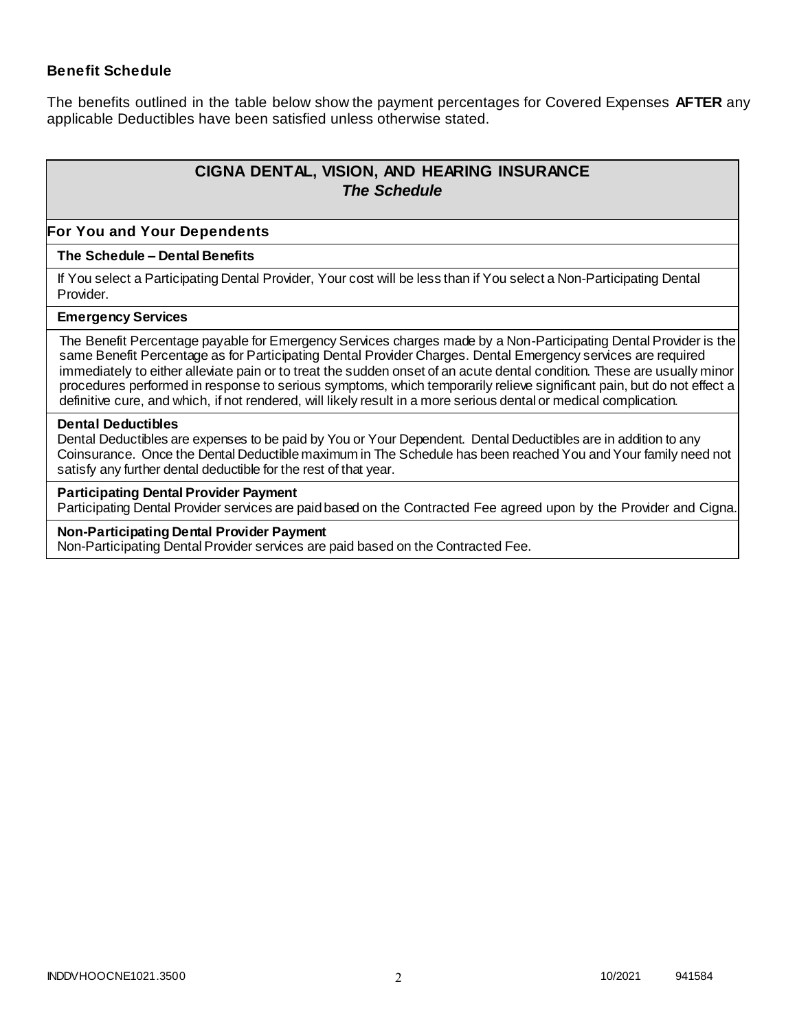### **Benefit Schedule**

The benefits outlined in the table below show the payment percentages for Covered Expenses **AFTER** any applicable Deductibles have been satisfied unless otherwise stated.

# **CIGNA DENTAL, VISION, AND HEARING INSURANCE** *The Schedule*

#### **For You and Your Dependents**

#### **The Schedule – Dental Benefits**

If You select a Participating Dental Provider, Your cost will be less than if You select a Non-Participating Dental Provider.

#### **Emergency Services**

The Benefit Percentage payable for Emergency Services charges made by a Non-Participating Dental Provider is the same Benefit Percentage as for Participating Dental Provider Charges. Dental Emergency services are required immediately to either alleviate pain or to treat the sudden onset of an acute dental condition. These are usually minor procedures performed in response to serious symptoms, which temporarily relieve significant pain, but do not effect a definitive cure, and which, if not rendered, will likely result in a more serious dental or medical complication.

#### **Dental Deductibles**

Dental Deductibles are expenses to be paid by You or Your Dependent. Dental Deductibles are in addition to any Coinsurance. Once the Dental Deductible maximum in The Schedule has been reached You and Your family need not satisfy any further dental deductible for the rest of that year.

#### **Participating Dental Provider Payment**

Participating Dental Provider services are paid based on the Contracted Fee agreed upon by the Provider and Cigna.

#### **Non-Participating Dental Provider Payment**

Non-Participating Dental Provider services are paid based on the Contracted Fee.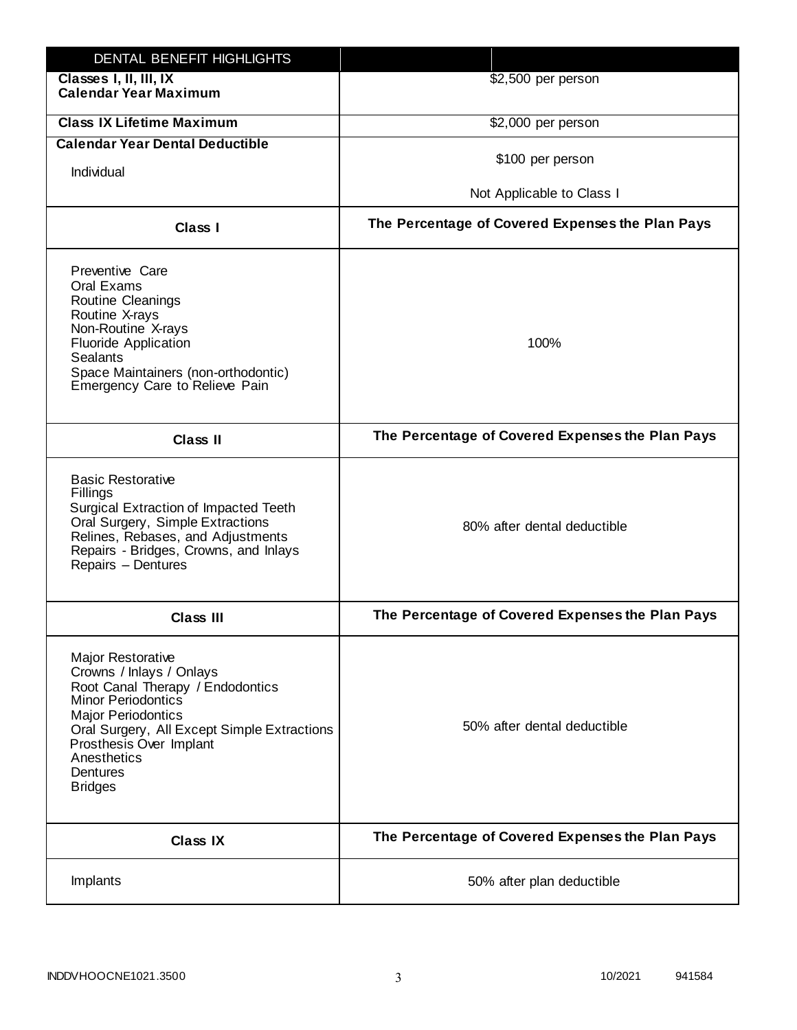| DENTAL BENEFIT HIGHLIGHTS                                                                                                                                                                                                                                                 |                                                  |
|---------------------------------------------------------------------------------------------------------------------------------------------------------------------------------------------------------------------------------------------------------------------------|--------------------------------------------------|
| Classes I, II, III, IX<br><b>Calendar Year Maximum</b>                                                                                                                                                                                                                    | \$2,500 per person                               |
| <b>Class IX Lifetime Maximum</b>                                                                                                                                                                                                                                          | \$2,000 per person                               |
| <b>Calendar Year Dental Deductible</b>                                                                                                                                                                                                                                    |                                                  |
| Individual                                                                                                                                                                                                                                                                | \$100 per person                                 |
|                                                                                                                                                                                                                                                                           | Not Applicable to Class I                        |
| Class I                                                                                                                                                                                                                                                                   | The Percentage of Covered Expenses the Plan Pays |
| Preventive Care<br>Oral Exams<br><b>Routine Cleanings</b><br>Routine X-rays<br>Non-Routine X-rays<br><b>Fluoride Application</b><br><b>Sealants</b><br>Space Maintainers (non-orthodontic)<br>Emergency Care to Relieve Pain                                              | 100%                                             |
| <b>Class II</b>                                                                                                                                                                                                                                                           | The Percentage of Covered Expenses the Plan Pays |
| <b>Basic Restorative</b><br>Fillings<br>Surgical Extraction of Impacted Teeth<br>Oral Surgery, Simple Extractions<br>Relines, Rebases, and Adjustments<br>Repairs - Bridges, Crowns, and Inlays<br>Repairs - Dentures                                                     | 80% after dental deductible                      |
| <b>Class III</b>                                                                                                                                                                                                                                                          | The Percentage of Covered Expenses the Plan Pays |
| <b>Major Restorative</b><br>Crowns / Inlays / Onlays<br>Root Canal Therapy / Endodontics<br><b>Minor Periodontics</b><br><b>Major Periodontics</b><br>Oral Surgery, All Except Simple Extractions<br>Prosthesis Over Implant<br>Anesthetics<br>Dentures<br><b>Bridges</b> | 50% after dental deductible                      |
| <b>Class IX</b>                                                                                                                                                                                                                                                           | The Percentage of Covered Expenses the Plan Pays |
| Implants                                                                                                                                                                                                                                                                  | 50% after plan deductible                        |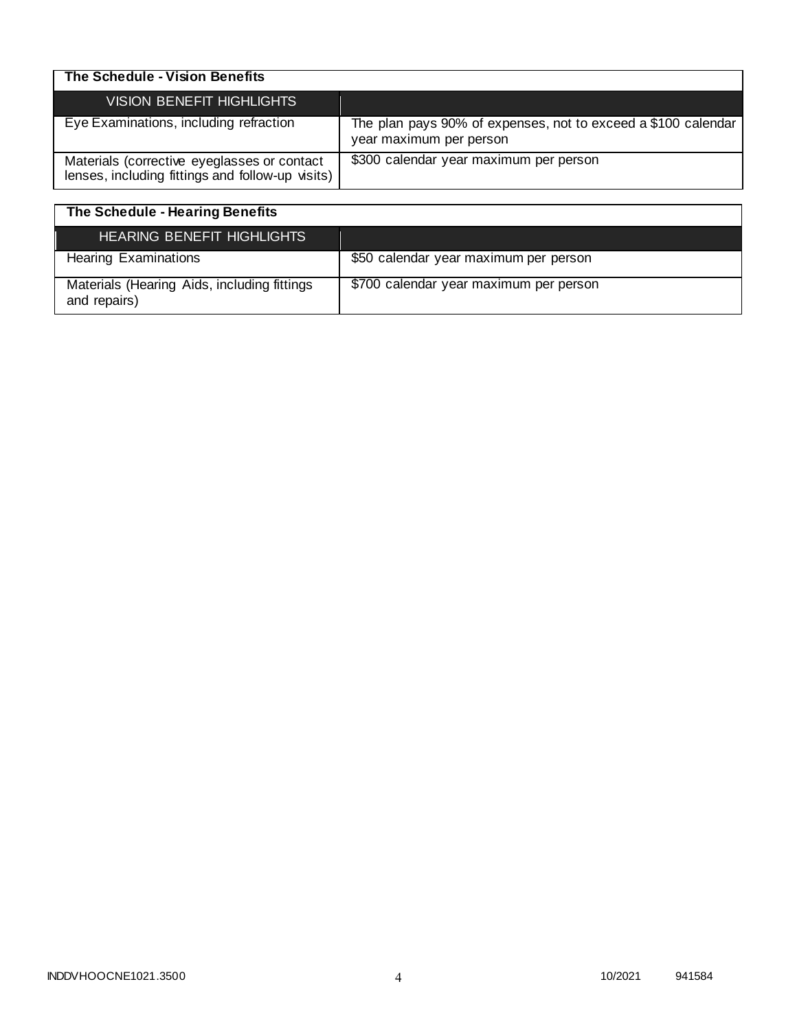| The Schedule - Vision Benefits                                                                  |                                                                                          |
|-------------------------------------------------------------------------------------------------|------------------------------------------------------------------------------------------|
| <b>VISION BENEFIT HIGHLIGHTS</b>                                                                |                                                                                          |
| Eye Examinations, including refraction                                                          | The plan pays 90% of expenses, not to exceed a \$100 calendar<br>year maximum per person |
| Materials (corrective eyeglasses or contact<br>lenses, including fittings and follow-up visits) | \$300 calendar year maximum per person                                                   |

| The Schedule - Hearing Benefits                             |                                        |
|-------------------------------------------------------------|----------------------------------------|
| HEARING BENEFIT HIGHLIGHTS                                  |                                        |
| <b>Hearing Examinations</b>                                 | \$50 calendar year maximum per person  |
| Materials (Hearing Aids, including fittings<br>and repairs) | \$700 calendar year maximum per person |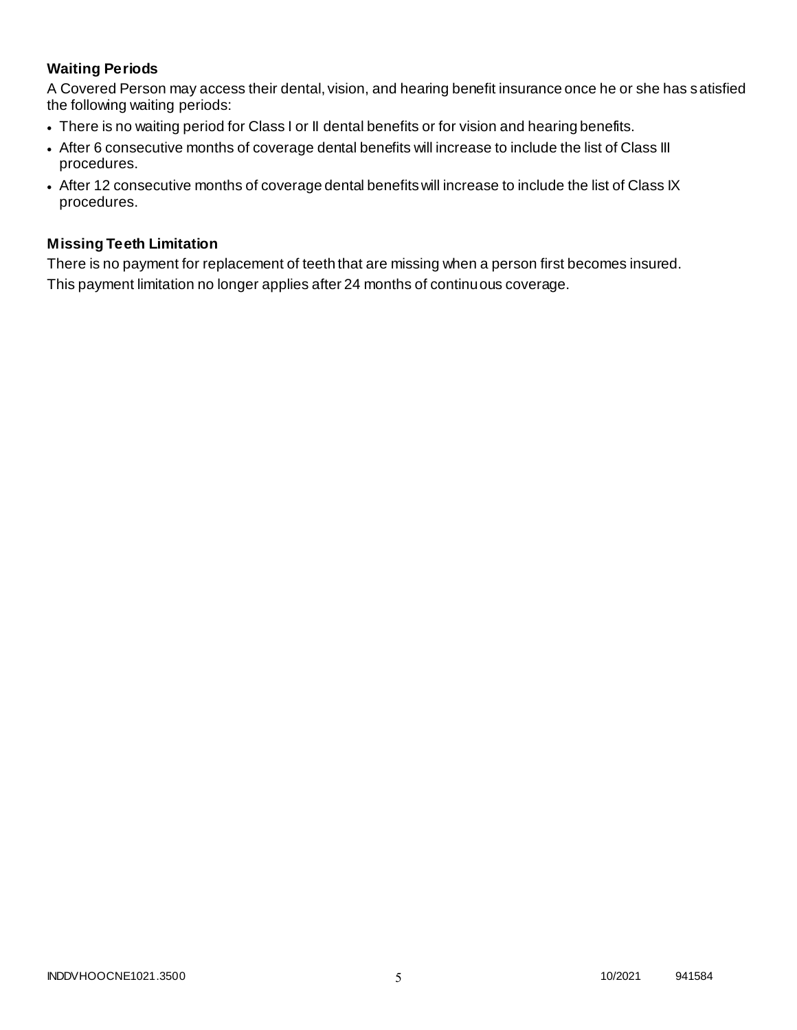# **Waiting Periods**

A Covered Person may access their dental, vision, and hearing benefit insurance once he or she has satisfied the following waiting periods:

- There is no waiting period for Class I or II dental benefits or for vision and hearing benefits.
- After 6 consecutive months of coverage dental benefits will increase to include the list of Class III procedures.
- After 12 consecutive months of coverage dental benefits will increase to include the list of Class IX procedures.

### **Missing Teeth Limitation**

There is no payment for replacement of teeth that are missing when a person first becomes insured. This payment limitation no longer applies after 24 months of continuous coverage.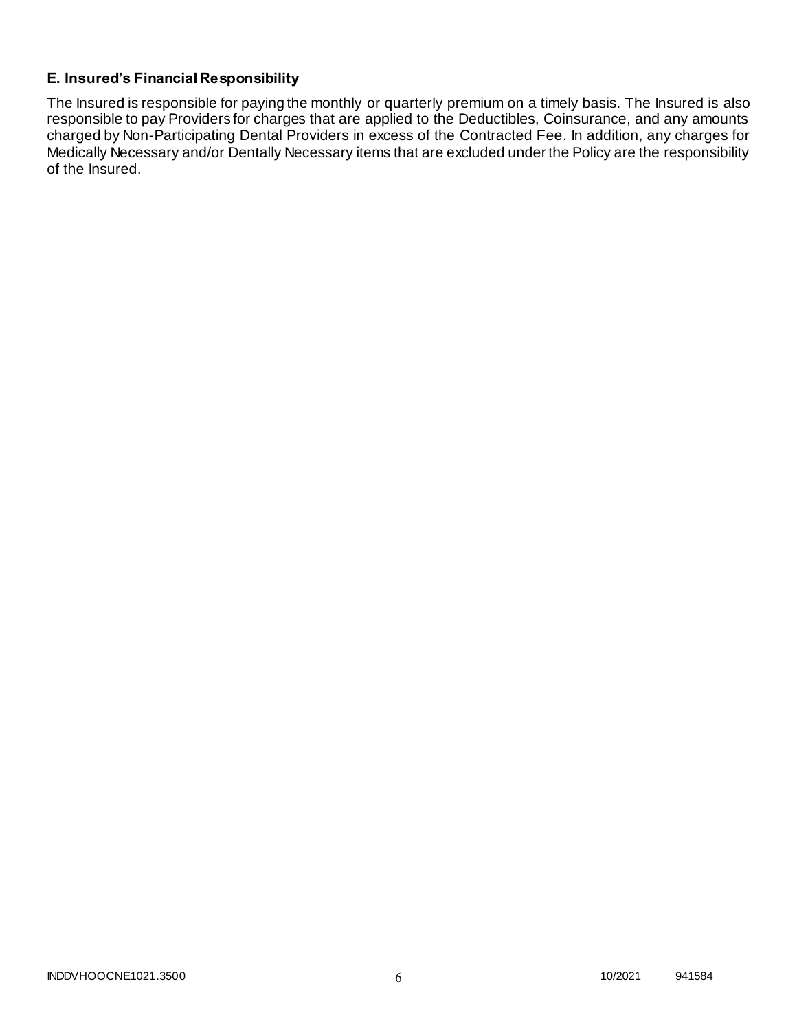# **E. Insured's Financial Responsibility**

The Insured is responsible for paying the monthly or quarterly premium on a timely basis. The Insured is also responsible to pay Providers for charges that are applied to the Deductibles, Coinsurance, and any amounts charged by Non-Participating Dental Providers in excess of the Contracted Fee. In addition, any charges for Medically Necessary and/or Dentally Necessary items that are excluded under the Policy are the responsibility of the Insured.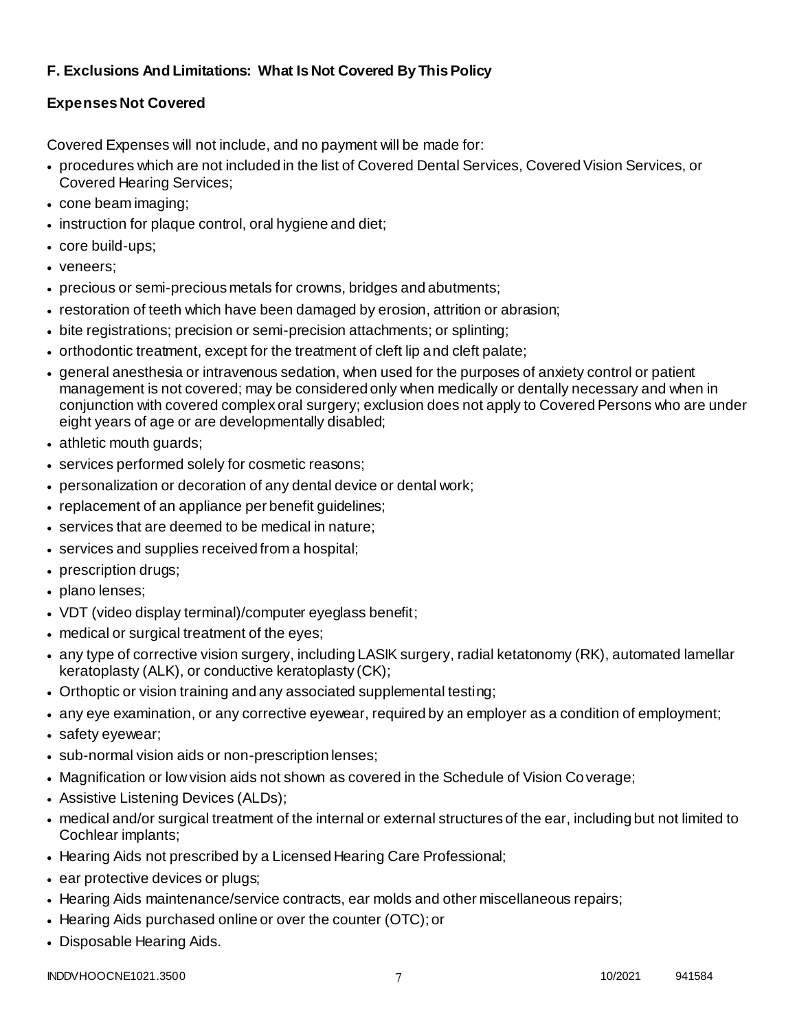# **F. Exclusions And Limitations: What Is Not Covered By This Policy**

# **Expenses Not Covered**

Covered Expenses will not include, and no payment will be made for:

- procedures which are not included in the list of Covered Dental Services, Covered Vision Services, or Covered Hearing Services;
- cone beam imaging;
- instruction for plaque control, oral hygiene and diet;
- core build-ups;
- veneers;
- precious or semi-precious metals for crowns, bridges and abutments;
- restoration of teeth which have been damaged by erosion, attrition or abrasion;
- bite registrations; precision or semi-precision attachments; or splinting;
- orthodontic treatment, except for the treatment of cleft lip and cleft palate;
- general anesthesia or intravenous sedation, when used for the purposes of anxiety control or patient management is not covered; may be considered only when medically or dentally necessary and when in conjunction with covered complex oral surgery; exclusion does not apply to Covered Persons who are under eight years of age or are developmentally disabled;
- athletic mouth guards;
- services performed solely for cosmetic reasons;
- personalization or decoration of any dental device or dental work;
- replacement of an appliance per benefit quidelines;
- services that are deemed to be medical in nature;
- services and supplies received from a hospital;
- prescription drugs;
- plano lenses;
- VDT (video display terminal)/computer eyeglass benefit;
- medical or surgical treatment of the eyes;
- any type of corrective vision surgery, including LASIK surgery, radial ketatonomy (RK), automated lamellar keratoplasty (ALK), or conductive keratoplasty (CK);
- Orthoptic or vision training and any associated supplemental testing;
- any eye examination, or any corrective eyewear, required by an employer as a condition of employment;
- safety eyewear;
- sub-normal vision aids or non-prescription lenses;
- Magnification or low vision aids not shown as covered in the Schedule of Vision Coverage;
- Assistive Listening Devices (ALDs);
- medical and/or surgical treatment of the internal or external structures of the ear, including but not limited to Cochlear implants;
- Hearing Aids not prescribed by a Licensed Hearing Care Professional;
- ear protective devices or plugs;
- Hearing Aids maintenance/service contracts, ear molds and other miscellaneous repairs;
- Hearing Aids purchased online or over the counter (OTC); or
- Disposable Hearing Aids.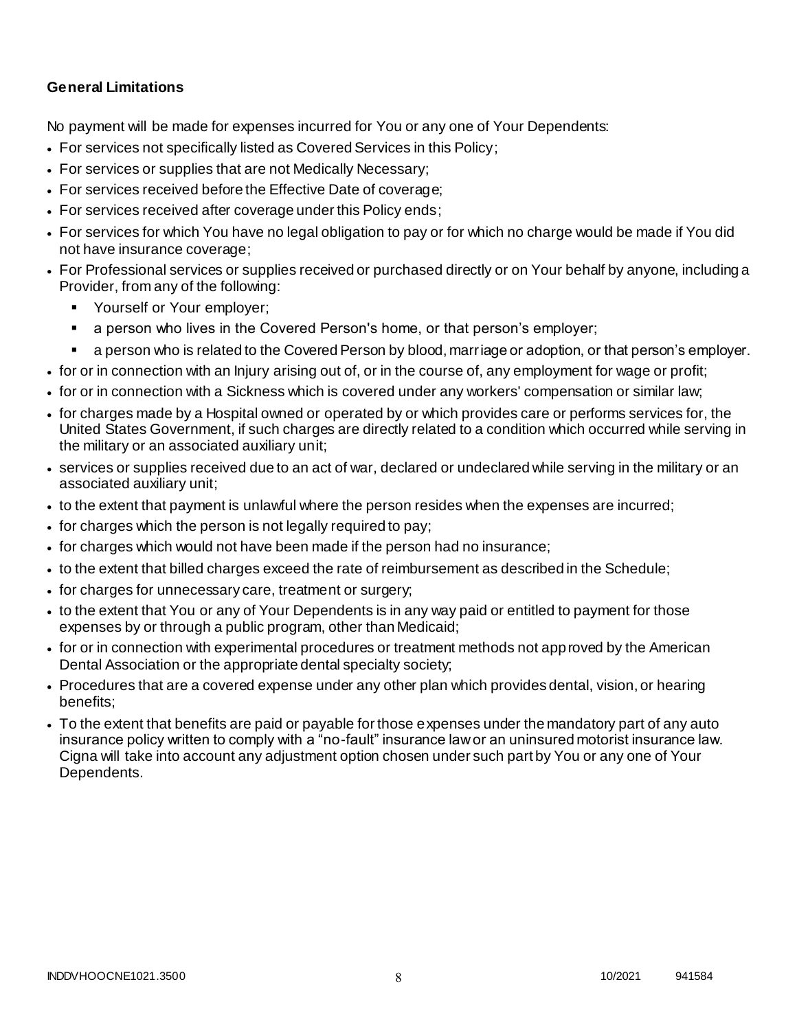# **General Limitations**

No payment will be made for expenses incurred for You or any one of Your Dependents:

- For services not specifically listed as Covered Services in this Policy;
- For services or supplies that are not Medically Necessary;
- For services received before the Effective Date of coverage;
- For services received after coverage under this Policy ends;
- For services for which You have no legal obligation to pay or for which no charge would be made if You did not have insurance coverage;
- For Professional services or supplies received or purchased directly or on Your behalf by anyone, including a Provider, from any of the following:
	- **Yourself or Your employer;**
	- a person who lives in the Covered Person's home, or that person's employer;
	- a person who is related to the Covered Person by blood, marriage or adoption, or that person's employer.
- for or in connection with an Injury arising out of, or in the course of, any employment for wage or profit;
- for or in connection with a Sickness which is covered under any workers' compensation or similar law;
- for charges made by a Hospital owned or operated by or which provides care or performs services for, the United States Government, if such charges are directly related to a condition which occurred while serving in the military or an associated auxiliary unit;
- services or supplies received due to an act of war, declared or undeclared while serving in the military or an associated auxiliary unit;
- to the extent that payment is unlawful where the person resides when the expenses are incurred;
- for charges which the person is not legally required to pay;
- for charges which would not have been made if the person had no insurance;
- to the extent that billed charges exceed the rate of reimbursement as described in the Schedule;
- for charges for unnecessary care, treatment or surgery;
- to the extent that You or any of Your Dependents is in any way paid or entitled to payment for those expenses by or through a public program, other than Medicaid;
- for or in connection with experimental procedures or treatment methods not approved by the American Dental Association or the appropriate dental specialty society;
- Procedures that are a covered expense under any other plan which provides dental, vision, or hearing benefits;
- To the extent that benefits are paid or payable for those expenses under the mandatory part of any auto insurance policy written to comply with a "no-fault" insurance law or an uninsured motorist insurance law. Cigna will take into account any adjustment option chosen under such part by You or any one of Your Dependents.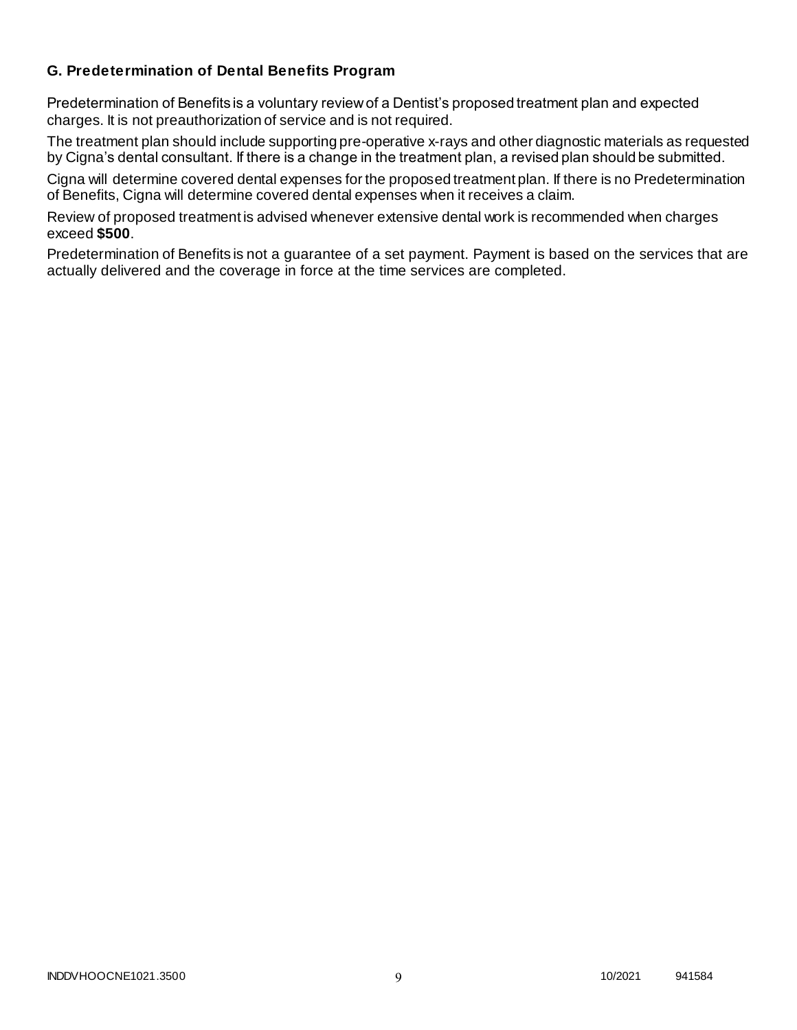## **G. Predetermination of Dental Benefits Program**

Predetermination of Benefits is a voluntary review of a Dentist's proposed treatment plan and expected charges. It is not preauthorization of service and is not required.

The treatment plan should include supporting pre-operative x-rays and other diagnostic materials as requested by Cigna's dental consultant. If there is a change in the treatment plan, a revised plan should be submitted.

Cigna will determine covered dental expenses for the proposed treatment plan. If there is no Predetermination of Benefits, Cigna will determine covered dental expenses when it receives a claim.

Review of proposed treatment is advised whenever extensive dental work is recommended when charges exceed **\$500**.

Predetermination of Benefits is not a guarantee of a set payment. Payment is based on the services that are actually delivered and the coverage in force at the time services are completed.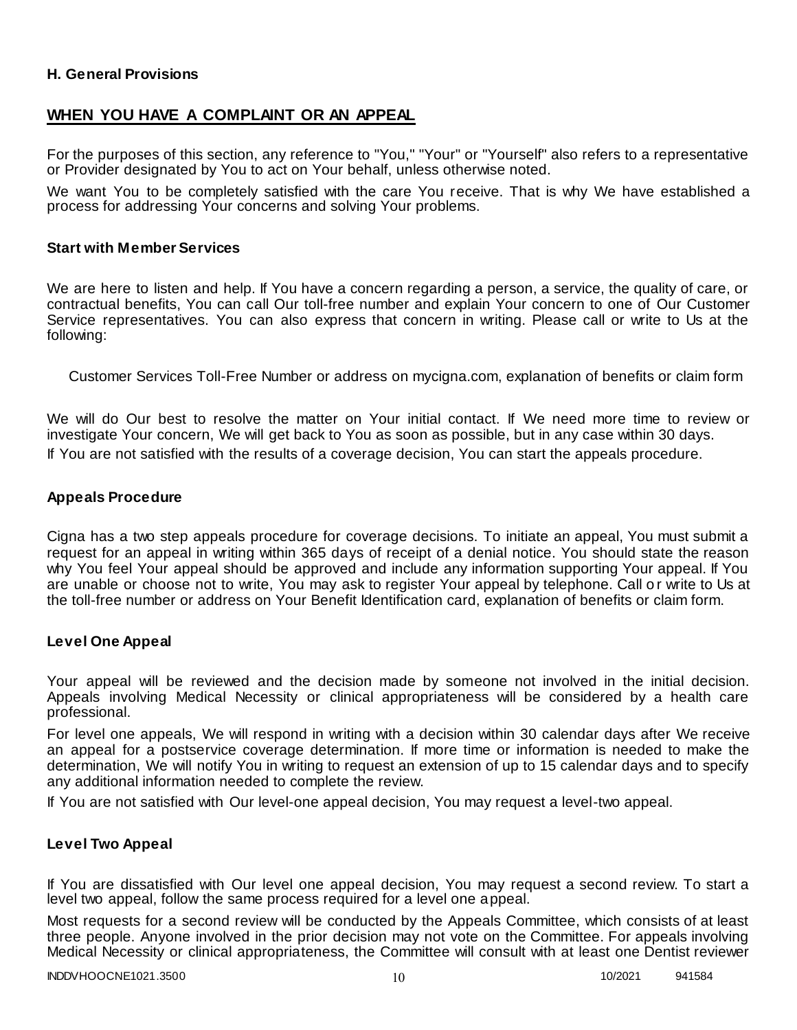### **H. General Provisions**

# **WHEN YOU HAVE A COMPLAINT OR AN APPEAL**

For the purposes of this section, any reference to "You," "Your" or "Yourself" also refers to a representative or Provider designated by You to act on Your behalf, unless otherwise noted.

We want You to be completely satisfied with the care You receive. That is why We have established a process for addressing Your concerns and solving Your problems.

### **Start with Member Services**

We are here to listen and help. If You have a concern regarding a person, a service, the quality of care, or contractual benefits, You can call Our toll-free number and explain Your concern to one of Our Customer Service representatives. You can also express that concern in writing. Please call or write to Us at the following:

Customer Services Toll-Free Number or address on mycigna.com, explanation of benefits or claim form

We will do Our best to resolve the matter on Your initial contact. If We need more time to review or investigate Your concern, We will get back to You as soon as possible, but in any case within 30 days. If You are not satisfied with the results of a coverage decision, You can start the appeals procedure.

### **Appeals Procedure**

Cigna has a two step appeals procedure for coverage decisions. To initiate an appeal, You must submit a request for an appeal in writing within 365 days of receipt of a denial notice. You should state the reason why You feel Your appeal should be approved and include any information supporting Your appeal. If You are unable or choose not to write, You may ask to register Your appeal by telephone. Call o r write to Us at the toll-free number or address on Your Benefit Identification card, explanation of benefits or claim form.

### **Level One Appeal**

Your appeal will be reviewed and the decision made by someone not involved in the initial decision. Appeals involving Medical Necessity or clinical appropriateness will be considered by a health care professional.

For level one appeals, We will respond in writing with a decision within 30 calendar days after We receive an appeal for a postservice coverage determination. If more time or information is needed to make the determination, We will notify You in writing to request an extension of up to 15 calendar days and to specify any additional information needed to complete the review.

If You are not satisfied with Our level-one appeal decision, You may request a level-two appeal.

### **Level Two Appeal**

If You are dissatisfied with Our level one appeal decision, You may request a second review. To start a level two appeal, follow the same process required for a level one appeal.

Most requests for a second review will be conducted by the Appeals Committee, which consists of at least three people. Anyone involved in the prior decision may not vote on the Committee. For appeals involving Medical Necessity or clinical appropriateness, the Committee will consult with at least one Dentist reviewer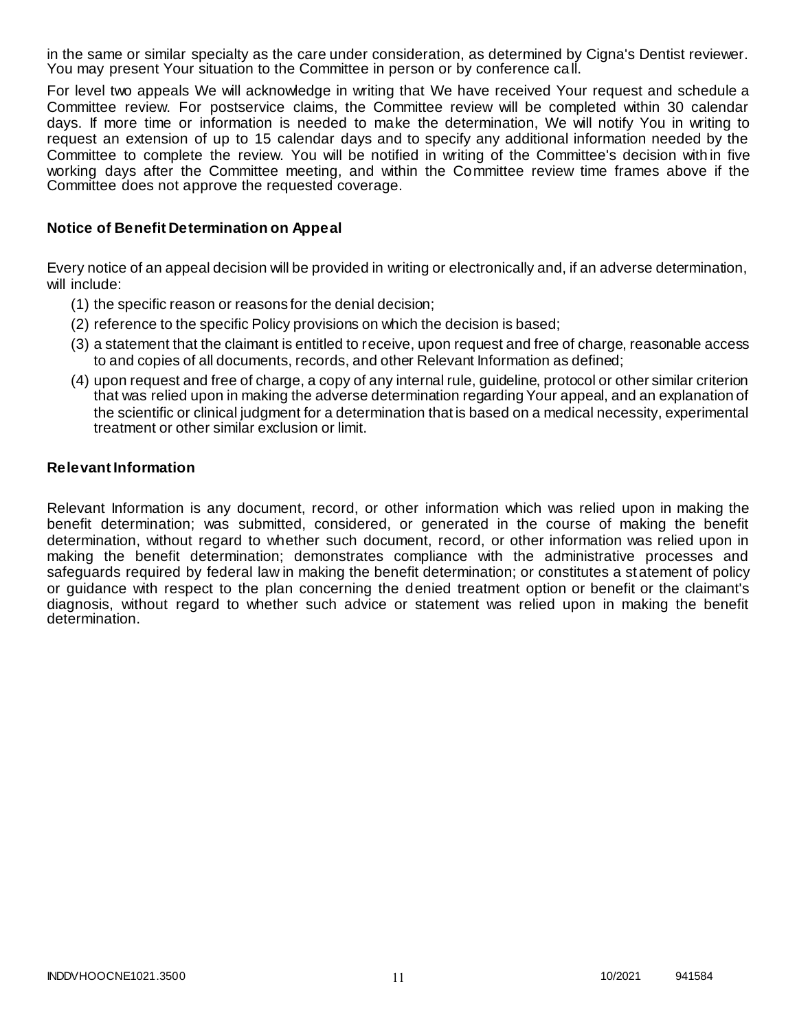in the same or similar specialty as the care under consideration, as determined by Cigna's Dentist reviewer. You may present Your situation to the Committee in person or by conference call.

For level two appeals We will acknowledge in writing that We have received Your request and schedule a Committee review. For postservice claims, the Committee review will be completed within 30 calendar days. If more time or information is needed to make the determination, We will notify You in writing to request an extension of up to 15 calendar days and to specify any additional information needed by the Committee to complete the review. You will be notified in writing of the Committee's decision with in five working days after the Committee meeting, and within the Committee review time frames above if the Committee does not approve the requested coverage.

### **Notice of Benefit Determination on Appeal**

Every notice of an appeal decision will be provided in writing or electronically and, if an adverse determination, will include:

- (1) the specific reason or reasons for the denial decision;
- (2) reference to the specific Policy provisions on which the decision is based;
- (3) a statement that the claimant is entitled to receive, upon request and free of charge, reasonable access to and copies of all documents, records, and other Relevant Information as defined;
- (4) upon request and free of charge, a copy of any internal rule, guideline, protocol or other similar criterion that was relied upon in making the adverse determination regarding Your appeal, and an explanation of the scientific or clinical judgment for a determination that is based on a medical necessity, experimental treatment or other similar exclusion or limit.

### **Relevant Information**

Relevant Information is any document, record, or other information which was relied upon in making the benefit determination; was submitted, considered, or generated in the course of making the benefit determination, without regard to whether such document, record, or other information was relied upon in making the benefit determination; demonstrates compliance with the administrative processes and safeguards required by federal law in making the benefit determination; or constitutes a st atement of policy or guidance with respect to the plan concerning the denied treatment option or benefit or the claimant's diagnosis, without regard to whether such advice or statement was relied upon in making the benefit determination.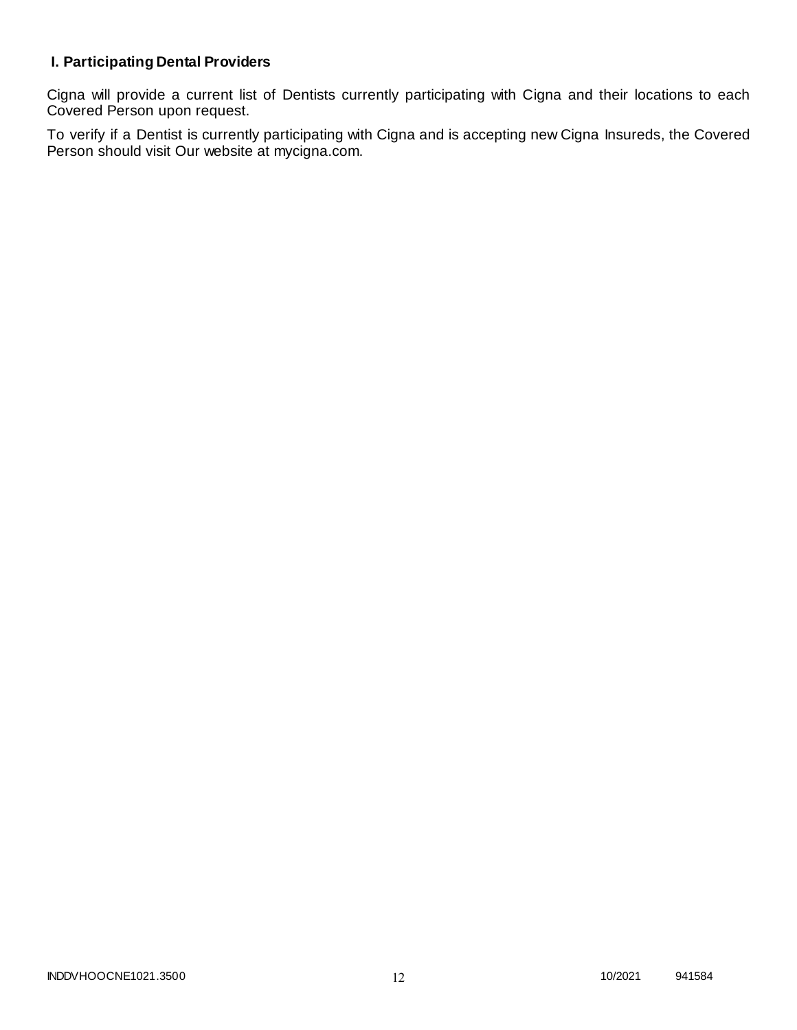# **I. Participating Dental Providers**

Cigna will provide a current list of Dentists currently participating with Cigna and their locations to each Covered Person upon request.

To verify if a Dentist is currently participating with Cigna and is accepting new Cigna Insureds, the Covered Person should visit Our website at mycigna.com.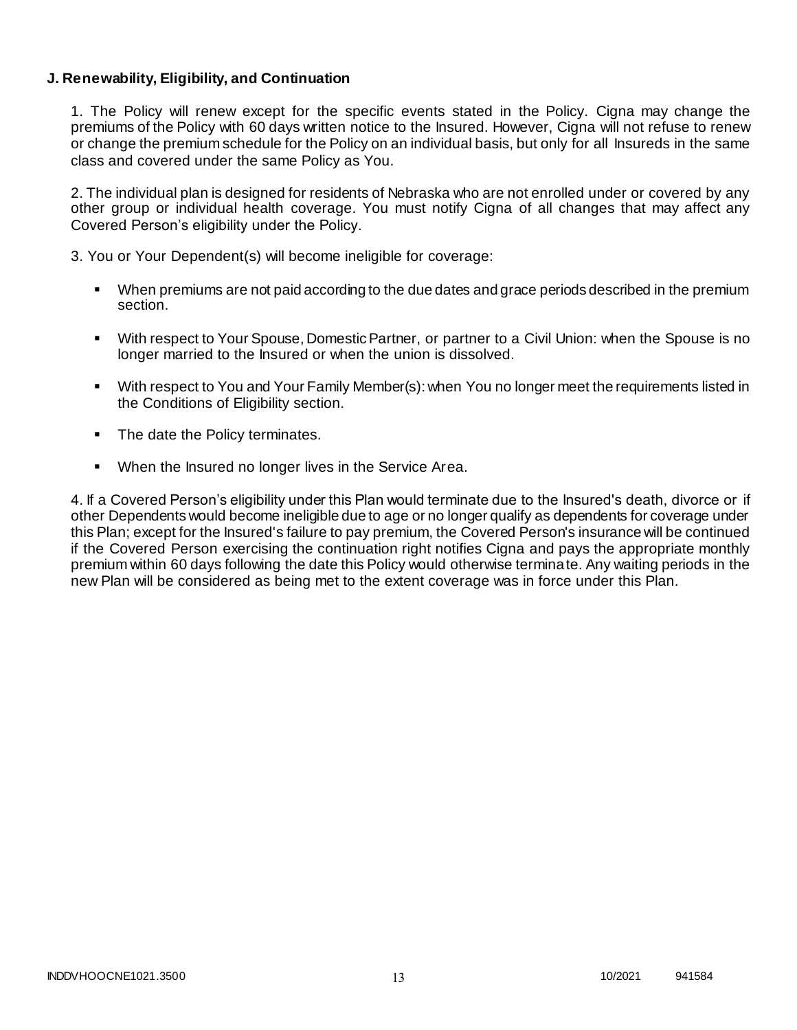### **J. Renewability, Eligibility, and Continuation**

1. The Policy will renew except for the specific events stated in the Policy. Cigna may change the premiums of the Policy with 60 days written notice to the Insured. However, Cigna will not refuse to renew or change the premium schedule for the Policy on an individual basis, but only for all Insureds in the same class and covered under the same Policy as You.

2. The individual plan is designed for residents of Nebraska who are not enrolled under or covered by any other group or individual health coverage. You must notify Cigna of all changes that may affect any Covered Person's eligibility under the Policy.

3. You or Your Dependent(s) will become ineligible for coverage:

- When premiums are not paid according to the due dates and grace periods described in the premium section.
- With respect to Your Spouse, Domestic Partner, or partner to a Civil Union: when the Spouse is no longer married to the Insured or when the union is dissolved.
- With respect to You and Your Family Member(s): when You no longer meet the requirements listed in the Conditions of Eligibility section.
- The date the Policy terminates.
- When the Insured no longer lives in the Service Area.

4. If a Covered Person's eligibility under this Plan would terminate due to the Insured's death, divorce or if other Dependents would become ineligible due to age or no longer qualify as dependents for coverage under this Plan; except for the Insured's failure to pay premium, the Covered Person's insurance will be continued if the Covered Person exercising the continuation right notifies Cigna and pays the appropriate monthly premium within 60 days following the date this Policy would otherwise terminate. Any waiting periods in the new Plan will be considered as being met to the extent coverage was in force under this Plan.